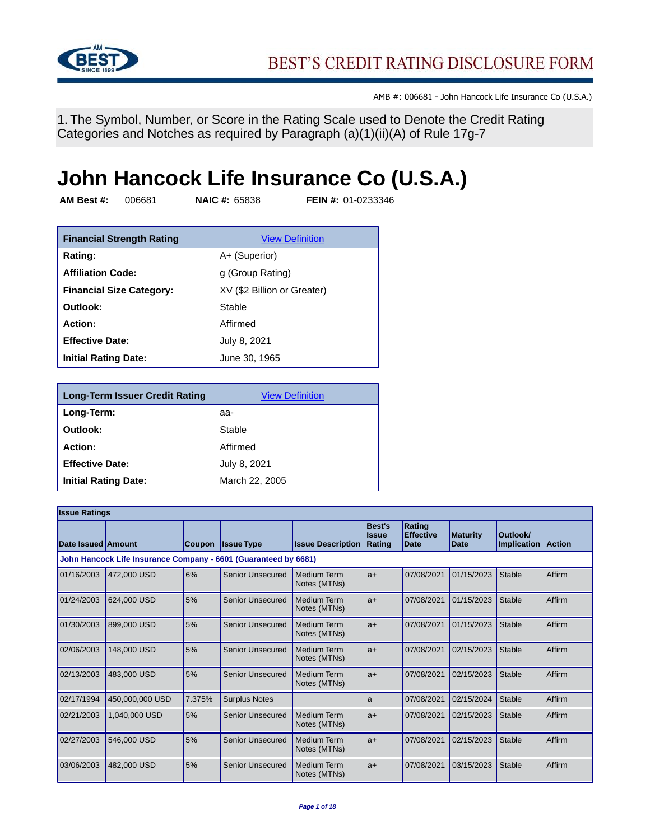

1. The Symbol, Number, or Score in the Rating Scale used to Denote the Credit Rating Categories and Notches as required by Paragraph (a)(1)(ii)(A) of Rule 17g-7

## **John Hancock Life Insurance Co (U.S.A.)**

**AM Best #:** 006681 **NAIC #:** 65838 **FEIN #:** 01-0233346

| <b>Financial Strength Rating</b> | <b>View Definition</b>      |
|----------------------------------|-----------------------------|
| Rating:                          | A+ (Superior)               |
| <b>Affiliation Code:</b>         | g (Group Rating)            |
| <b>Financial Size Category:</b>  | XV (\$2 Billion or Greater) |
| Outlook:                         | Stable                      |
| Action:                          | Affirmed                    |
| <b>Effective Date:</b>           | July 8, 2021                |
| <b>Initial Rating Date:</b>      | June 30, 1965               |

| <b>Long-Term Issuer Credit Rating</b> | <b>View Definition</b> |
|---------------------------------------|------------------------|
| Long-Term:                            | aa-                    |
| Outlook:                              | Stable                 |
| <b>Action:</b>                        | Affirmed               |
| <b>Effective Date:</b>                | July 8, 2021           |
| <b>Initial Rating Date:</b>           | March 22, 2005         |

| <b>Issue Ratings</b> |                                                                 |               |                         |                                    |                                  |                                           |                         |                                |               |
|----------------------|-----------------------------------------------------------------|---------------|-------------------------|------------------------------------|----------------------------------|-------------------------------------------|-------------------------|--------------------------------|---------------|
| Date Issued Amount   |                                                                 | <b>Coupon</b> | <b>Issue Type</b>       | <b>Issue Description</b>           | Best's<br><b>Issue</b><br>Rating | Rating<br><b>Effective</b><br><b>Date</b> | <b>Maturity</b><br>Date | Outlook/<br><b>Implication</b> | <b>Action</b> |
|                      | John Hancock Life Insurance Company - 6601 (Guaranteed by 6681) |               |                         |                                    |                                  |                                           |                         |                                |               |
| 01/16/2003           | 472,000 USD                                                     | 6%            | <b>Senior Unsecured</b> | <b>Medium Term</b><br>Notes (MTNs) | $a+$                             | 07/08/2021                                | 01/15/2023              | Stable                         | Affirm        |
| 01/24/2003           | 624,000 USD                                                     | 5%            | <b>Senior Unsecured</b> | Medium Term<br>Notes (MTNs)        | $a+$                             | 07/08/2021                                | 01/15/2023              | Stable                         | Affirm        |
| 01/30/2003           | 899,000 USD                                                     | 5%            | <b>Senior Unsecured</b> | <b>Medium Term</b><br>Notes (MTNs) | $a+$                             | 07/08/2021                                | 01/15/2023              | Stable                         | Affirm        |
| 02/06/2003           | 148,000 USD                                                     | 5%            | <b>Senior Unsecured</b> | <b>Medium Term</b><br>Notes (MTNs) | $a+$                             | 07/08/2021                                | 02/15/2023              | <b>Stable</b>                  | Affirm        |
| 02/13/2003           | 483,000 USD                                                     | 5%            | <b>Senior Unsecured</b> | <b>Medium Term</b><br>Notes (MTNs) | $a+$                             | 07/08/2021                                | 02/15/2023              | Stable                         | Affirm        |
| 02/17/1994           | 450.000.000 USD                                                 | 7.375%        | <b>Surplus Notes</b>    |                                    | a                                | 07/08/2021                                | 02/15/2024              | <b>Stable</b>                  | Affirm        |
| 02/21/2003           | 1,040,000 USD                                                   | 5%            | <b>Senior Unsecured</b> | <b>Medium Term</b><br>Notes (MTNs) | $a+$                             | 07/08/2021                                | 02/15/2023              | Stable                         | Affirm        |
| 02/27/2003           | 546,000 USD                                                     | 5%            | <b>Senior Unsecured</b> | Medium Term<br>Notes (MTNs)        | $a+$                             | 07/08/2021                                | 02/15/2023              | <b>Stable</b>                  | Affirm        |
| 03/06/2003           | 482,000 USD                                                     | 5%            | <b>Senior Unsecured</b> | <b>Medium Term</b><br>Notes (MTNs) | $a+$                             | 07/08/2021                                | 03/15/2023              | Stable                         | Affirm        |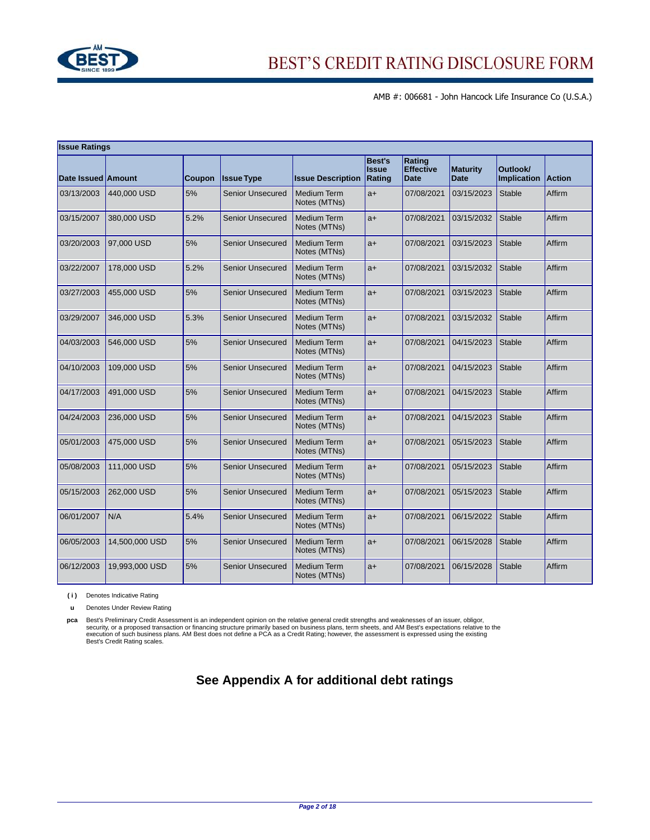

| <b>Issue Ratings</b> |                |        |                         |                                    |                                  |                                           |                                |                         |               |
|----------------------|----------------|--------|-------------------------|------------------------------------|----------------------------------|-------------------------------------------|--------------------------------|-------------------------|---------------|
| Date Issued Amount   |                | Coupon | <b>Issue Type</b>       | <b>Issue Description</b>           | Best's<br><b>Issue</b><br>Rating | Rating<br><b>Effective</b><br><b>Date</b> | <b>Maturity</b><br><b>Date</b> | Outlook/<br>Implication | <b>Action</b> |
| 03/13/2003           | 440,000 USD    | 5%     | <b>Senior Unsecured</b> | Medium Term<br>Notes (MTNs)        | $a+$                             | 07/08/2021                                | 03/15/2023                     | Stable                  | Affirm        |
| 03/15/2007           | 380,000 USD    | 5.2%   | <b>Senior Unsecured</b> | Medium Term<br>Notes (MTNs)        | $a+$                             | 07/08/2021                                | 03/15/2032                     | <b>Stable</b>           | Affirm        |
| 03/20/2003           | 97,000 USD     | 5%     | <b>Senior Unsecured</b> | Medium Term<br>Notes (MTNs)        | $a+$                             | 07/08/2021                                | 03/15/2023                     | <b>Stable</b>           | Affirm        |
| 03/22/2007           | 178,000 USD    | 5.2%   | <b>Senior Unsecured</b> | Medium Term<br>Notes (MTNs)        | $a+$                             | 07/08/2021                                | 03/15/2032                     | <b>Stable</b>           | Affirm        |
| 03/27/2003           | 455,000 USD    | 5%     | <b>Senior Unsecured</b> | <b>Medium Term</b><br>Notes (MTNs) | $a+$                             | 07/08/2021                                | 03/15/2023                     | <b>Stable</b>           | Affirm        |
| 03/29/2007           | 346,000 USD    | 5.3%   | <b>Senior Unsecured</b> | Medium Term<br>Notes (MTNs)        | $a+$                             | 07/08/2021                                | 03/15/2032                     | <b>Stable</b>           | Affirm        |
| 04/03/2003           | 546,000 USD    | 5%     | <b>Senior Unsecured</b> | <b>Medium Term</b><br>Notes (MTNs) | $a+$                             | 07/08/2021                                | 04/15/2023                     | <b>Stable</b>           | Affirm        |
| 04/10/2003           | 109,000 USD    | 5%     | <b>Senior Unsecured</b> | <b>Medium Term</b><br>Notes (MTNs) | $a+$                             | 07/08/2021                                | 04/15/2023                     | <b>Stable</b>           | Affirm        |
| 04/17/2003           | 491,000 USD    | 5%     | <b>Senior Unsecured</b> | <b>Medium Term</b><br>Notes (MTNs) | $a+$                             | 07/08/2021                                | 04/15/2023                     | <b>Stable</b>           | Affirm        |
| 04/24/2003           | 236,000 USD    | 5%     | <b>Senior Unsecured</b> | <b>Medium Term</b><br>Notes (MTNs) | $a+$                             | 07/08/2021                                | 04/15/2023                     | <b>Stable</b>           | Affirm        |
| 05/01/2003           | 475,000 USD    | 5%     | <b>Senior Unsecured</b> | Medium Term<br>Notes (MTNs)        | $a+$                             | 07/08/2021                                | 05/15/2023                     | <b>Stable</b>           | Affirm        |
| 05/08/2003           | 111,000 USD    | 5%     | <b>Senior Unsecured</b> | Medium Term<br>Notes (MTNs)        | $a+$                             | 07/08/2021                                | 05/15/2023                     | <b>Stable</b>           | Affirm        |
| 05/15/2003           | 262,000 USD    | 5%     | <b>Senior Unsecured</b> | <b>Medium Term</b><br>Notes (MTNs) | $a+$                             | 07/08/2021                                | 05/15/2023                     | <b>Stable</b>           | Affirm        |
| 06/01/2007           | N/A            | 5.4%   | <b>Senior Unsecured</b> | Medium Term<br>Notes (MTNs)        | $a+$                             | 07/08/2021                                | 06/15/2022                     | <b>Stable</b>           | Affirm        |
| 06/05/2003           | 14,500,000 USD | 5%     | <b>Senior Unsecured</b> | <b>Medium Term</b><br>Notes (MTNs) | $a+$                             | 07/08/2021                                | 06/15/2028                     | <b>Stable</b>           | Affirm        |
| 06/12/2003           | 19,993,000 USD | 5%     | <b>Senior Unsecured</b> | <b>Medium Term</b><br>Notes (MTNs) | $a+$                             | 07/08/2021                                | 06/15/2028                     | <b>Stable</b>           | Affirm        |

**( i )** Denotes Indicative Rating

**u** Denotes Under Review Rating

pca<br>security, or a proposed transaction or financing structure primarily based on business plans, term sheets, and MM Best's expectations relative to the<br>security, or a proposed transaction or financing structure primarily

## **See Appendix A for additional debt ratings**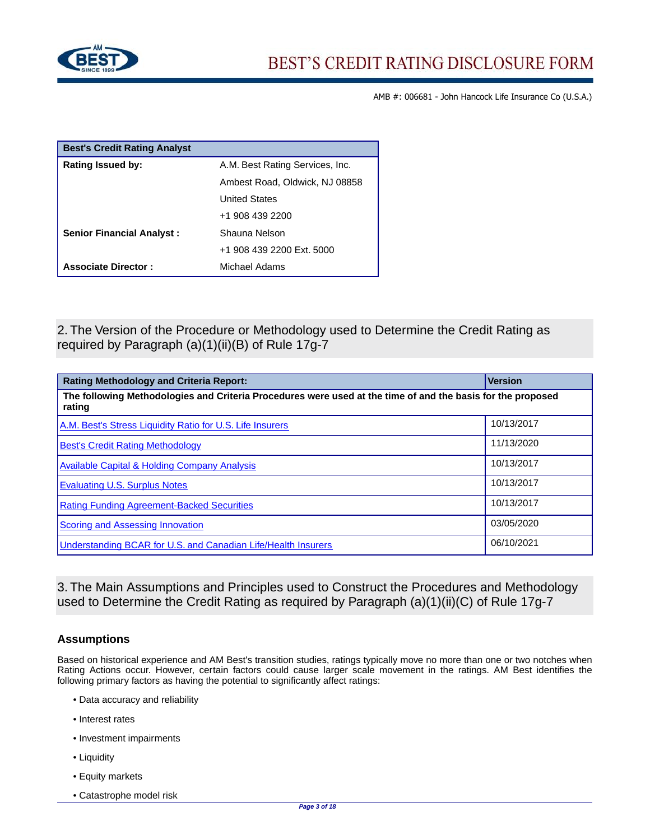

| <b>Best's Credit Rating Analyst</b> |                                 |
|-------------------------------------|---------------------------------|
| <b>Rating Issued by:</b>            | A.M. Best Rating Services, Inc. |
|                                     | Ambest Road, Oldwick, NJ 08858  |
|                                     | <b>United States</b>            |
|                                     | +1 908 439 2200                 |
| <b>Senior Financial Analyst:</b>    | Shauna Nelson                   |
|                                     | +1 908 439 2200 Ext. 5000       |
| <b>Associate Director:</b>          | Michael Adams                   |

2. The Version of the Procedure or Methodology used to Determine the Credit Rating as required by Paragraph (a)(1)(ii)(B) of Rule 17g-7

| <b>Rating Methodology and Criteria Report:</b>                                                                        | <b>Version</b> |  |  |  |
|-----------------------------------------------------------------------------------------------------------------------|----------------|--|--|--|
| The following Methodologies and Criteria Procedures were used at the time of and the basis for the proposed<br>rating |                |  |  |  |
| A.M. Best's Stress Liquidity Ratio for U.S. Life Insurers                                                             | 10/13/2017     |  |  |  |
| <b>Best's Credit Rating Methodology</b>                                                                               | 11/13/2020     |  |  |  |
| <b>Available Capital &amp; Holding Company Analysis</b>                                                               | 10/13/2017     |  |  |  |
| <b>Evaluating U.S. Surplus Notes</b>                                                                                  | 10/13/2017     |  |  |  |
| <b>Rating Funding Agreement-Backed Securities</b>                                                                     | 10/13/2017     |  |  |  |
| <b>Scoring and Assessing Innovation</b>                                                                               | 03/05/2020     |  |  |  |
| Understanding BCAR for U.S. and Canadian Life/Health Insurers                                                         | 06/10/2021     |  |  |  |

3. The Main Assumptions and Principles used to Construct the Procedures and Methodology used to Determine the Credit Rating as required by Paragraph (a)(1)(ii)(C) of Rule 17g-7

## **Assumptions**

Based on historical experience and AM Best's transition studies, ratings typically move no more than one or two notches when Rating Actions occur. However, certain factors could cause larger scale movement in the ratings. AM Best identifies the following primary factors as having the potential to significantly affect ratings:

- Data accuracy and reliability
- Interest rates
- Investment impairments
- Liquidity
- Equity markets
- Catastrophe model risk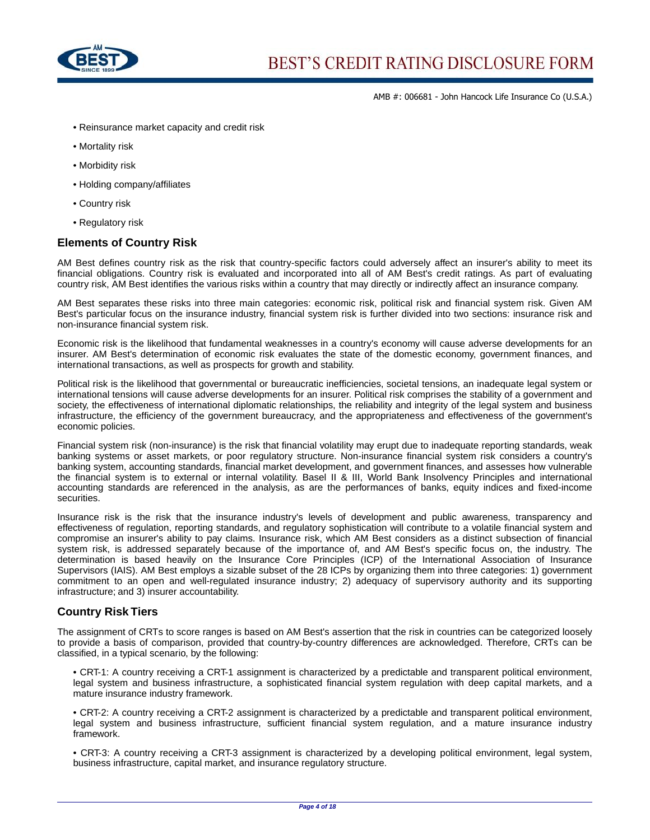

- Reinsurance market capacity and credit risk
- Mortality risk
- Morbidity risk
- Holding company/affiliates
- Country risk
- Regulatory risk

#### **Elements of Country Risk**

AM Best defines country risk as the risk that country-specific factors could adversely affect an insurer's ability to meet its financial obligations. Country risk is evaluated and incorporated into all of AM Best's credit ratings. As part of evaluating country risk, AM Best identifies the various risks within a country that may directly or indirectly affect an insurance company.

AM Best separates these risks into three main categories: economic risk, political risk and financial system risk. Given AM Best's particular focus on the insurance industry, financial system risk is further divided into two sections: insurance risk and non-insurance financial system risk.

Economic risk is the likelihood that fundamental weaknesses in a country's economy will cause adverse developments for an insurer. AM Best's determination of economic risk evaluates the state of the domestic economy, government finances, and international transactions, as well as prospects for growth and stability.

Political risk is the likelihood that governmental or bureaucratic inefficiencies, societal tensions, an inadequate legal system or international tensions will cause adverse developments for an insurer. Political risk comprises the stability of a government and society, the effectiveness of international diplomatic relationships, the reliability and integrity of the legal system and business infrastructure, the efficiency of the government bureaucracy, and the appropriateness and effectiveness of the government's economic policies.

Financial system risk (non-insurance) is the risk that financial volatility may erupt due to inadequate reporting standards, weak banking systems or asset markets, or poor regulatory structure. Non-insurance financial system risk considers a country's banking system, accounting standards, financial market development, and government finances, and assesses how vulnerable the financial system is to external or internal volatility. Basel II & III, World Bank Insolvency Principles and international accounting standards are referenced in the analysis, as are the performances of banks, equity indices and fixed-income securities.

Insurance risk is the risk that the insurance industry's levels of development and public awareness, transparency and effectiveness of regulation, reporting standards, and regulatory sophistication will contribute to a volatile financial system and compromise an insurer's ability to pay claims. Insurance risk, which AM Best considers as a distinct subsection of financial system risk, is addressed separately because of the importance of, and AM Best's specific focus on, the industry. The determination is based heavily on the Insurance Core Principles (ICP) of the International Association of Insurance Supervisors (IAIS). AM Best employs a sizable subset of the 28 ICPs by organizing them into three categories: 1) government commitment to an open and well-regulated insurance industry; 2) adequacy of supervisory authority and its supporting infrastructure; and 3) insurer accountability.

#### **Country Risk Tiers**

The assignment of CRTs to score ranges is based on AM Best's assertion that the risk in countries can be categorized loosely to provide a basis of comparison, provided that country-by-country differences are acknowledged. Therefore, CRTs can be classified, in a typical scenario, by the following:

• CRT-1: A country receiving a CRT-1 assignment is characterized by a predictable and transparent political environment, legal system and business infrastructure, a sophisticated financial system regulation with deep capital markets, and a mature insurance industry framework.

• CRT-2: A country receiving a CRT-2 assignment is characterized by a predictable and transparent political environment, legal system and business infrastructure, sufficient financial system regulation, and a mature insurance industry framework.

• CRT-3: A country receiving a CRT-3 assignment is characterized by a developing political environment, legal system, business infrastructure, capital market, and insurance regulatory structure.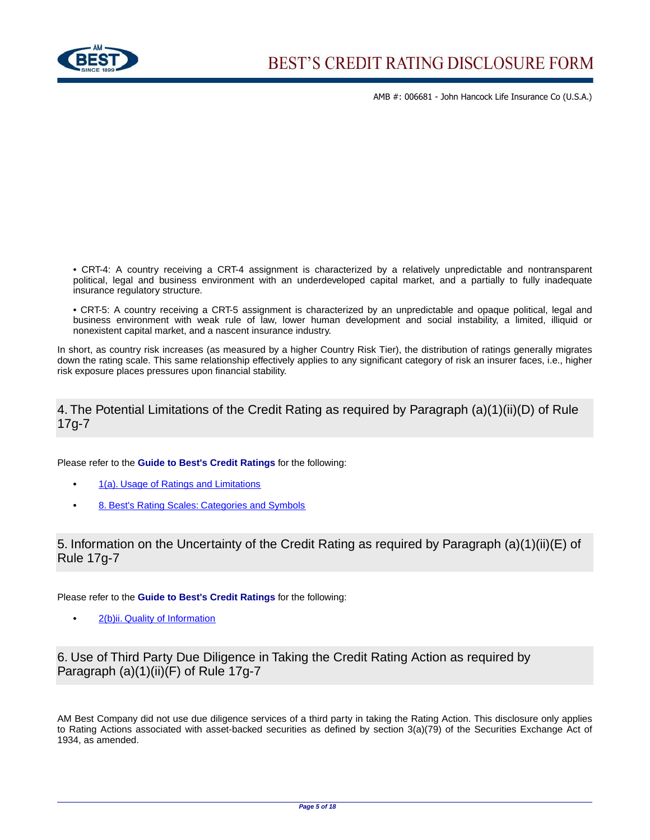

• CRT-4: A country receiving a CRT-4 assignment is characterized by a relatively unpredictable and nontransparent political, legal and business environment with an underdeveloped capital market, and a partially to fully inadequate insurance regulatory structure.

• CRT-5: A country receiving a CRT-5 assignment is characterized by an unpredictable and opaque political, legal and business environment with weak rule of law, lower human development and social instability, a limited, illiquid or nonexistent capital market, and a nascent insurance industry.

In short, as country risk increases (as measured by a higher Country Risk Tier), the distribution of ratings generally migrates down the rating scale. This same relationship effectively applies to any significant category of risk an insurer faces, i.e., higher risk exposure places pressures upon financial stability.

## 4. The Potential Limitations of the Credit Rating as required by Paragraph (a)(1)(ii)(D) of Rule 17g-7

Please refer to the **Guide to Best's Credit Ratings** for the following:

- **•** [1\(a\). Usage of Ratings and Limitations](http://www3.ambest.com/ambv/ratingmethodology/openpdf.aspx?ubcr=1&ri=1368#Comments)
- **•** [8. Best's Rating Scales: Categories and Symbols](http://www3.ambest.com/ambv/ratingmethodology/openpdf.aspx?ubcr=1&ri=1368#Scales)

5. Information on the Uncertainty of the Credit Rating as required by Paragraph (a)(1)(ii)(E) of Rule 17g-7

Please refer to the **Guide to Best's Credit Ratings** for the following:

**•** [2\(b\)ii. Quality of Information](http://www3.ambest.com/ambv/ratingmethodology/openpdf.aspx?ubcr=1&ri=1368#Quality)

6. Use of Third Party Due Diligence in Taking the Credit Rating Action as required by Paragraph (a)(1)(ii)(F) of Rule 17g-7

AM Best Company did not use due diligence services of a third party in taking the Rating Action. This disclosure only applies to Rating Actions associated with asset-backed securities as defined by section 3(a)(79) of the Securities Exchange Act of 1934, as amended.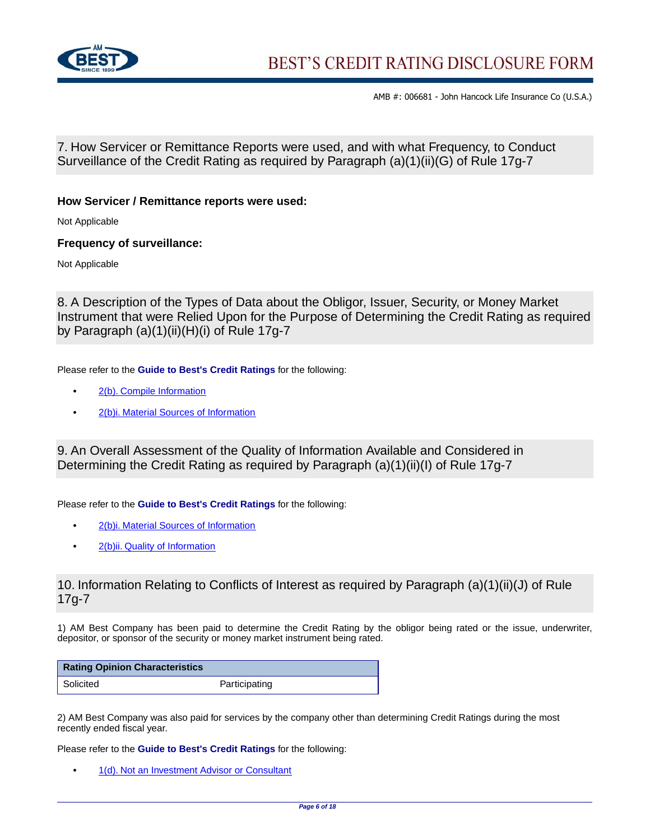

7. How Servicer or Remittance Reports were used, and with what Frequency, to Conduct Surveillance of the Credit Rating as required by Paragraph (a)(1)(ii)(G) of Rule 17g-7

### **How Servicer / Remittance reports were used:**

Not Applicable

### **Frequency of surveillance:**

Not Applicable

8. A Description of the Types of Data about the Obligor, Issuer, Security, or Money Market Instrument that were Relied Upon for the Purpose of Determining the Credit Rating as required by Paragraph (a)(1)(ii)(H)(i) of Rule 17g-7

Please refer to the **Guide to Best's Credit Ratings** for the following:

- **•** [2\(b\). Compile Information](http://www3.ambest.com/ambv/ratingmethodology/openpdf.aspx?ubcr=1&ri=1368#Compile)
- **•** [2\(b\)i. Material Sources of Information](http://www3.ambest.com/ambv/ratingmethodology/openpdf.aspx?ubcr=1&ri=1368#Sources)

9. An Overall Assessment of the Quality of Information Available and Considered in Determining the Credit Rating as required by Paragraph (a)(1)(ii)(I) of Rule 17g-7

Please refer to the **Guide to Best's Credit Ratings** for the following:

- **•** [2\(b\)i. Material Sources of Information](http://www3.ambest.com/ambv/ratingmethodology/openpdf.aspx?ubcr=1&ri=1368#Sources)
- **•** [2\(b\)ii. Quality of Information](http://www3.ambest.com/ambv/ratingmethodology/openpdf.aspx?ubcr=1&ri=1368#Quality)

## 10. Information Relating to Conflicts of Interest as required by Paragraph (a)(1)(ii)(J) of Rule 17g-7

1) AM Best Company has been paid to determine the Credit Rating by the obligor being rated or the issue, underwriter, depositor, or sponsor of the security or money market instrument being rated.

| <b>Rating Opinion Characteristics</b> |               |
|---------------------------------------|---------------|
| Solicited                             | Participating |

2) AM Best Company was also paid for services by the company other than determining Credit Ratings during the most recently ended fiscal year.

Please refer to the **Guide to Best's Credit Ratings** for the following:

**•** [1\(d\). Not an Investment Advisor or Consultant](http://www3.ambest.com/ambv/ratingmethodology/openpdf.aspx?ubcr=1&ri=1368#Investment)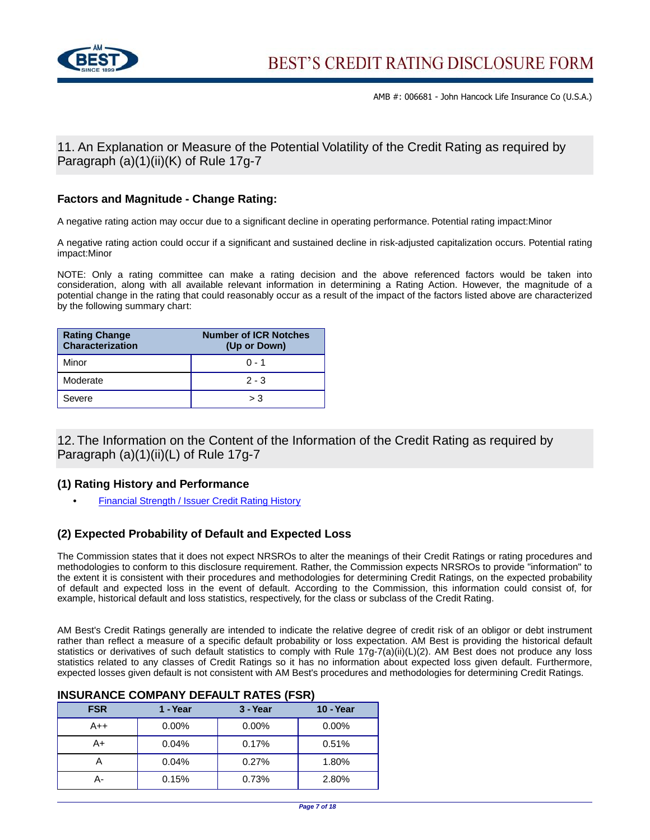

11. An Explanation or Measure of the Potential Volatility of the Credit Rating as required by Paragraph (a)(1)(ii)(K) of Rule 17g-7

## **Factors and Magnitude - Change Rating:**

A negative rating action may occur due to a significant decline in operating performance. Potential rating impact:Minor

A negative rating action could occur if a significant and sustained decline in risk-adjusted capitalization occurs. Potential rating impact:Minor

NOTE: Only a rating committee can make a rating decision and the above referenced factors would be taken into consideration, along with all available relevant information in determining a Rating Action. However, the magnitude of a potential change in the rating that could reasonably occur as a result of the impact of the factors listed above are characterized by the following summary chart:

| <b>Rating Change</b><br>Characterization | <b>Number of ICR Notches</b><br>(Up or Down) |
|------------------------------------------|----------------------------------------------|
| Minor                                    | $0 - 1$                                      |
| Moderate                                 | $2 - 3$                                      |
| Severe                                   | > 3                                          |

12. The Information on the Content of the Information of the Credit Rating as required by Paragraph (a)(1)(ii)(L) of Rule 17g-7

## **(1) Rating History and Performance**

**•** [Financial Strength / Issuer Credit Rating History](http://ratings.ambest.com/CompanyProfile.aspx?AltSrc=135&ambnum=6681#hist)

## **(2) Expected Probability of Default and Expected Loss**

The Commission states that it does not expect NRSROs to alter the meanings of their Credit Ratings or rating procedures and methodologies to conform to this disclosure requirement. Rather, the Commission expects NRSROs to provide "information" to the extent it is consistent with their procedures and methodologies for determining Credit Ratings, on the expected probability of default and expected loss in the event of default. According to the Commission, this information could consist of, for example, historical default and loss statistics, respectively, for the class or subclass of the Credit Rating.

AM Best's Credit Ratings generally are intended to indicate the relative degree of credit risk of an obligor or debt instrument rather than reflect a measure of a specific default probability or loss expectation. AM Best is providing the historical default statistics or derivatives of such default statistics to comply with Rule 17g-7(a)(ii)(L)(2). AM Best does not produce any loss statistics related to any classes of Credit Ratings so it has no information about expected loss given default. Furthermore, expected losses given default is not consistent with AM Best's procedures and methodologies for determining Credit Ratings.

### **INSURANCE COMPANY DEFAULT RATES (FSR)**

| <b>FSR</b> | 1 - Year | 3 - Year | <b>10 - Year</b> |
|------------|----------|----------|------------------|
| $A++$      | $0.00\%$ | $0.00\%$ | $0.00\%$         |
| A+         | 0.04%    | 0.17%    | 0.51%            |
|            | 0.04%    | 0.27%    | 1.80%            |
| А-         | 0.15%    | 0.73%    | 2.80%            |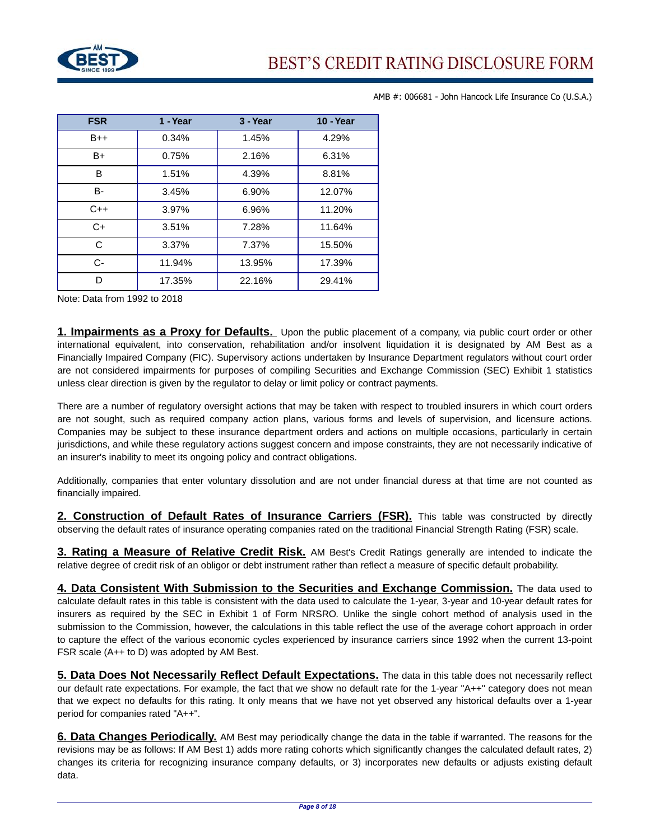

| <b>FSR</b> | 1 - Year | 3 - Year | <b>10 - Year</b> |
|------------|----------|----------|------------------|
| $B++$      | 0.34%    | 1.45%    | 4.29%            |
| B+         | 0.75%    | 2.16%    | 6.31%            |
| B          | 1.51%    | 4.39%    | 8.81%            |
| В-         | 3.45%    | 6.90%    | 12.07%           |
| $C++$      | 3.97%    | 6.96%    | 11.20%           |
| $C+$       | 3.51%    | 7.28%    | 11.64%           |
| C          | 3.37%    | 7.37%    | 15.50%           |
| $C -$      | 11.94%   | 13.95%   | 17.39%           |
| ח          | 17.35%   | 22.16%   | 29.41%           |

Note: Data from 1992 to 2018

**1. Impairments as a Proxy for Defaults.** Upon the public placement of a company, via public court order or other international equivalent, into conservation, rehabilitation and/or insolvent liquidation it is designated by AM Best as a Financially Impaired Company (FIC). Supervisory actions undertaken by Insurance Department regulators without court order are not considered impairments for purposes of compiling Securities and Exchange Commission (SEC) Exhibit 1 statistics unless clear direction is given by the regulator to delay or limit policy or contract payments.

There are a number of regulatory oversight actions that may be taken with respect to troubled insurers in which court orders are not sought, such as required company action plans, various forms and levels of supervision, and licensure actions. Companies may be subject to these insurance department orders and actions on multiple occasions, particularly in certain jurisdictions, and while these regulatory actions suggest concern and impose constraints, they are not necessarily indicative of an insurer's inability to meet its ongoing policy and contract obligations.

Additionally, companies that enter voluntary dissolution and are not under financial duress at that time are not counted as financially impaired.

**2. Construction of Default Rates of Insurance Carriers (FSR).** This table was constructed by directly observing the default rates of insurance operating companies rated on the traditional Financial Strength Rating (FSR) scale.

**3. Rating a Measure of Relative Credit Risk.** AM Best's Credit Ratings generally are intended to indicate the relative degree of credit risk of an obligor or debt instrument rather than reflect a measure of specific default probability.

**4. Data Consistent With Submission to the Securities and Exchange Commission.** The data used to calculate default rates in this table is consistent with the data used to calculate the 1-year, 3-year and 10-year default rates for insurers as required by the SEC in Exhibit 1 of Form NRSRO. Unlike the single cohort method of analysis used in the submission to the Commission, however, the calculations in this table reflect the use of the average cohort approach in order to capture the effect of the various economic cycles experienced by insurance carriers since 1992 when the current 13-point FSR scale (A++ to D) was adopted by AM Best.

**5. Data Does Not Necessarily Reflect Default Expectations.** The data in this table does not necessarily reflect our default rate expectations. For example, the fact that we show no default rate for the 1-year "A++" category does not mean that we expect no defaults for this rating. It only means that we have not yet observed any historical defaults over a 1-year period for companies rated "A++".

**6. Data Changes Periodically.** AM Best may periodically change the data in the table if warranted. The reasons for the revisions may be as follows: If AM Best 1) adds more rating cohorts which significantly changes the calculated default rates, 2) changes its criteria for recognizing insurance company defaults, or 3) incorporates new defaults or adjusts existing default data.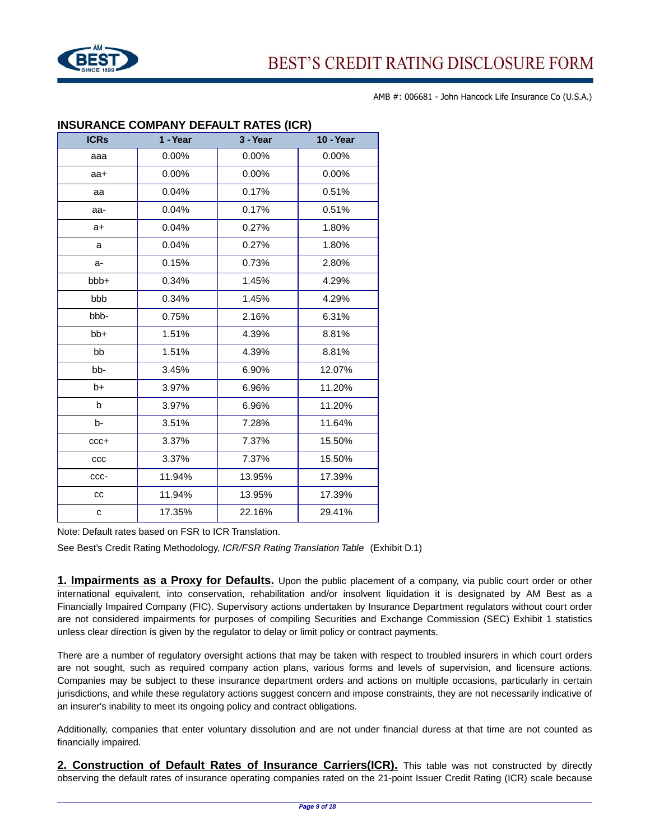

| <b>ICRs</b> | 1 - Year | 3 - Year | <b>10 - Year</b> |  |  |
|-------------|----------|----------|------------------|--|--|
| aaa         | 0.00%    | 0.00%    | 0.00%            |  |  |
| aa+         | 0.00%    | 0.00%    | 0.00%            |  |  |
| aa          | 0.04%    | 0.17%    | 0.51%            |  |  |
| aa-         | 0.04%    | 0.17%    | 0.51%            |  |  |
| $a+$        | 0.04%    | 0.27%    | 1.80%            |  |  |
| a           | 0.04%    | 0.27%    | 1.80%            |  |  |
| a-          | 0.15%    | 0.73%    | 2.80%            |  |  |
| bbb+        | 0.34%    | 1.45%    | 4.29%            |  |  |
| bbb         | 0.34%    | 1.45%    | 4.29%            |  |  |
| bbb-        | 0.75%    | 2.16%    | 6.31%            |  |  |
| bb+         | 1.51%    | 4.39%    | 8.81%            |  |  |
| bb          | 1.51%    | 4.39%    | 8.81%            |  |  |
| bb-         | 3.45%    | 6.90%    | 12.07%           |  |  |
| b+          | 3.97%    | 6.96%    | 11.20%           |  |  |
| b           | 3.97%    | 6.96%    | 11.20%           |  |  |
| b-          | 3.51%    | 7.28%    | 11.64%           |  |  |
| $ccc +$     | 3.37%    | 7.37%    | 15.50%           |  |  |
| CCC         | 3.37%    | 7.37%    | 15.50%           |  |  |
| ccc-        | 11.94%   | 13.95%   | 17.39%           |  |  |
| cc          | 11.94%   | 13.95%   | 17.39%           |  |  |
| C           | 17.35%   | 22.16%   | 29.41%           |  |  |

## **INSURANCE COMPANY DEFAULT RATES (ICR)**

Note: Default rates based on FSR to ICR Translation.

See Best's Credit Rating Methodology, ICR/FSR Rating Translation Table (Exhibit D.1)

**1. Impairments as a Proxy for Defaults.** Upon the public placement of a company, via public court order or other international equivalent, into conservation, rehabilitation and/or insolvent liquidation it is designated by AM Best as a Financially Impaired Company (FIC). Supervisory actions undertaken by Insurance Department regulators without court order are not considered impairments for purposes of compiling Securities and Exchange Commission (SEC) Exhibit 1 statistics unless clear direction is given by the regulator to delay or limit policy or contract payments.

There are a number of regulatory oversight actions that may be taken with respect to troubled insurers in which court orders are not sought, such as required company action plans, various forms and levels of supervision, and licensure actions. Companies may be subject to these insurance department orders and actions on multiple occasions, particularly in certain jurisdictions, and while these regulatory actions suggest concern and impose constraints, they are not necessarily indicative of an insurer's inability to meet its ongoing policy and contract obligations.

Additionally, companies that enter voluntary dissolution and are not under financial duress at that time are not counted as financially impaired.

**2. Construction of Default Rates of Insurance Carriers(ICR).** This table was not constructed by directly observing the default rates of insurance operating companies rated on the 21-point Issuer Credit Rating (ICR) scale because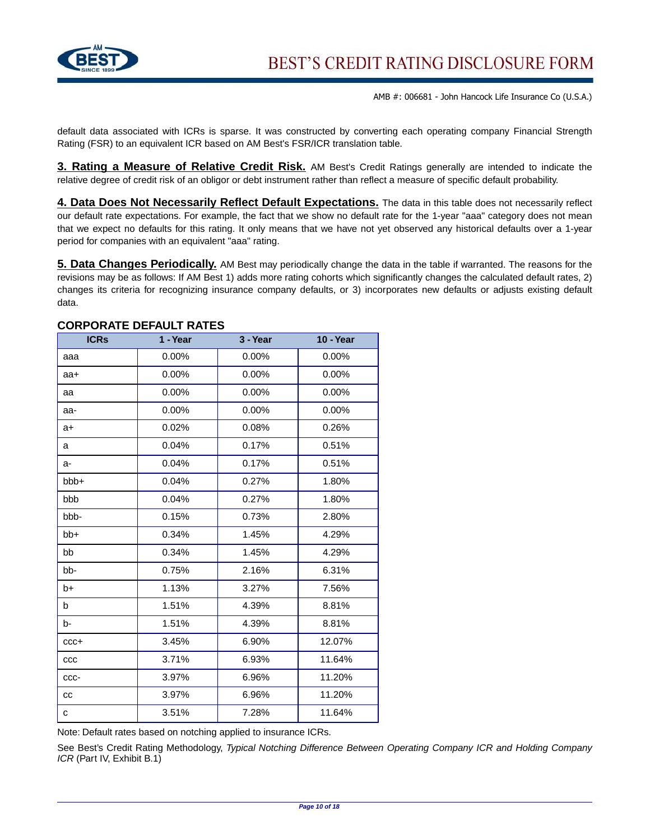

default data associated with ICRs is sparse. It was constructed by converting each operating company Financial Strength Rating (FSR) to an equivalent ICR based on AM Best's FSR/ICR translation table.

**3. Rating a Measure of Relative Credit Risk.** AM Best's Credit Ratings generally are intended to indicate the relative degree of credit risk of an obligor or debt instrument rather than reflect a measure of specific default probability.

**4. Data Does Not Necessarily Reflect Default Expectations.** The data in this table does not necessarily reflect our default rate expectations. For example, the fact that we show no default rate for the 1-year "aaa" category does not mean that we expect no defaults for this rating. It only means that we have not yet observed any historical defaults over a 1-year period for companies with an equivalent "aaa" rating.

**5. Data Changes Periodically.** AM Best may periodically change the data in the table if warranted. The reasons for the revisions may be as follows: If AM Best 1) adds more rating cohorts which significantly changes the calculated default rates, 2) changes its criteria for recognizing insurance company defaults, or 3) incorporates new defaults or adjusts existing default data.

| <b>ICRs</b> | 1 - Year | 3 - Year | <b>10 - Year</b> |
|-------------|----------|----------|------------------|
| aaa         | 0.00%    | 0.00%    | 0.00%            |
| aa+         | 0.00%    | 0.00%    | $0.00\%$         |
| aa          | $0.00\%$ | $0.00\%$ | $0.00\%$         |
| aa-         | 0.00%    | 0.00%    | 0.00%            |
| a+          | 0.02%    | 0.08%    | 0.26%            |
| a           | 0.04%    | 0.17%    | 0.51%            |
| a-          | 0.04%    | 0.17%    | 0.51%            |
| bbb+        | 0.04%    | 0.27%    | 1.80%            |
| bbb         | 0.04%    | 0.27%    | 1.80%            |
| bbb-        | 0.15%    | 0.73%    | 2.80%            |
| bb+         | 0.34%    | 1.45%    | 4.29%            |
| bb          | 0.34%    | 1.45%    | 4.29%            |
| bb-         | 0.75%    | 2.16%    | 6.31%            |
| b+          | 1.13%    | 3.27%    | 7.56%            |
| b           | 1.51%    | 4.39%    | 8.81%            |
| b-          | 1.51%    | 4.39%    | 8.81%            |
| $ccc+$      | 3.45%    | 6.90%    | 12.07%           |
| ccc         | 3.71%    | 6.93%    | 11.64%           |
| CCC-        | 3.97%    | 6.96%    | 11.20%           |
| cc          | 3.97%    | 6.96%    | 11.20%           |
| C           | 3.51%    | 7.28%    | 11.64%           |

#### **CORPORATE DEFAULT RATES**

Note: Default rates based on notching applied to insurance ICRs.

See Best's Credit Rating Methodology, Typical Notching Difference Between Operating Company ICR and Holding Company ICR (Part IV, Exhibit B.1)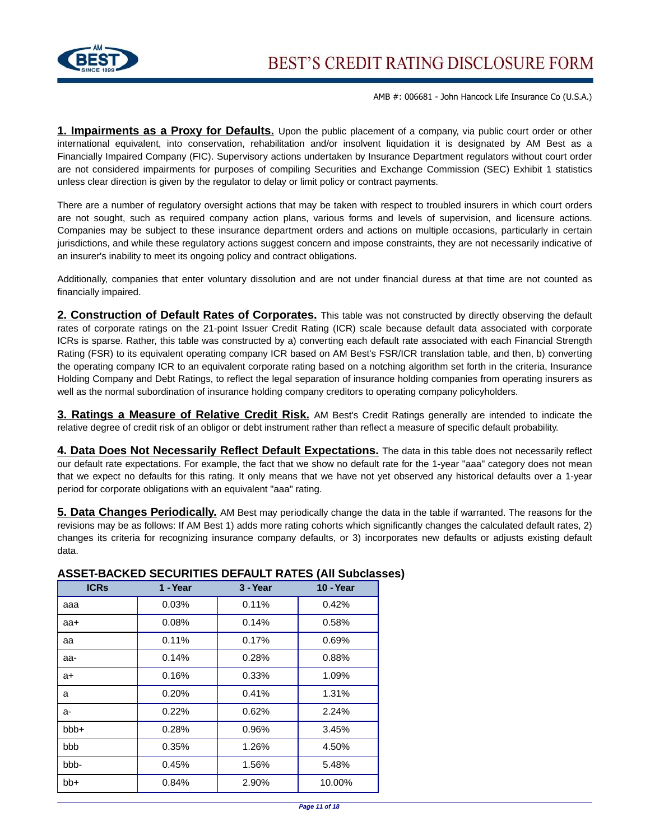

**1. Impairments as a Proxy for Defaults.** Upon the public placement of a company, via public court order or other international equivalent, into conservation, rehabilitation and/or insolvent liquidation it is designated by AM Best as a Financially Impaired Company (FIC). Supervisory actions undertaken by Insurance Department regulators without court order are not considered impairments for purposes of compiling Securities and Exchange Commission (SEC) Exhibit 1 statistics unless clear direction is given by the regulator to delay or limit policy or contract payments.

There are a number of regulatory oversight actions that may be taken with respect to troubled insurers in which court orders are not sought, such as required company action plans, various forms and levels of supervision, and licensure actions. Companies may be subject to these insurance department orders and actions on multiple occasions, particularly in certain jurisdictions, and while these regulatory actions suggest concern and impose constraints, they are not necessarily indicative of an insurer's inability to meet its ongoing policy and contract obligations.

Additionally, companies that enter voluntary dissolution and are not under financial duress at that time are not counted as financially impaired.

**2. Construction of Default Rates of Corporates.** This table was not constructed by directly observing the default rates of corporate ratings on the 21-point Issuer Credit Rating (ICR) scale because default data associated with corporate ICRs is sparse. Rather, this table was constructed by a) converting each default rate associated with each Financial Strength Rating (FSR) to its equivalent operating company ICR based on AM Best's FSR/ICR translation table, and then, b) converting the operating company ICR to an equivalent corporate rating based on a notching algorithm set forth in the criteria, Insurance Holding Company and Debt Ratings, to reflect the legal separation of insurance holding companies from operating insurers as well as the normal subordination of insurance holding company creditors to operating company policyholders.

**3. Ratings a Measure of Relative Credit Risk.** AM Best's Credit Ratings generally are intended to indicate the relative degree of credit risk of an obligor or debt instrument rather than reflect a measure of specific default probability.

**4. Data Does Not Necessarily Reflect Default Expectations.** The data in this table does not necessarily reflect our default rate expectations. For example, the fact that we show no default rate for the 1-year "aaa" category does not mean that we expect no defaults for this rating. It only means that we have not yet observed any historical defaults over a 1-year period for corporate obligations with an equivalent "aaa" rating.

**5. Data Changes Periodically.** AM Best may periodically change the data in the table if warranted. The reasons for the revisions may be as follows: If AM Best 1) adds more rating cohorts which significantly changes the calculated default rates, 2) changes its criteria for recognizing insurance company defaults, or 3) incorporates new defaults or adjusts existing default data.

| <b>ICRs</b> | 1 - Year | 3 - Year | 10 - Year |
|-------------|----------|----------|-----------|
| aaa         | 0.03%    | 0.11%    | 0.42%     |
| aa+         | 0.08%    | 0.14%    | 0.58%     |
| aa          | 0.11%    | 0.17%    | 0.69%     |
| aa-         | 0.14%    | 0.28%    | 0.88%     |
| a+          | 0.16%    | 0.33%    | 1.09%     |
| a           | 0.20%    | 0.41%    | 1.31%     |
| a-          | 0.22%    | 0.62%    | 2.24%     |
| bbb+        | 0.28%    | 0.96%    | 3.45%     |
| bbb         | 0.35%    | 1.26%    | 4.50%     |
| bbb-        | 0.45%    | 1.56%    | 5.48%     |
| bb+         | 0.84%    | 2.90%    | 10.00%    |

## **ASSET-BACKED SECURITIES DEFAULT RATES (All Subclasses)**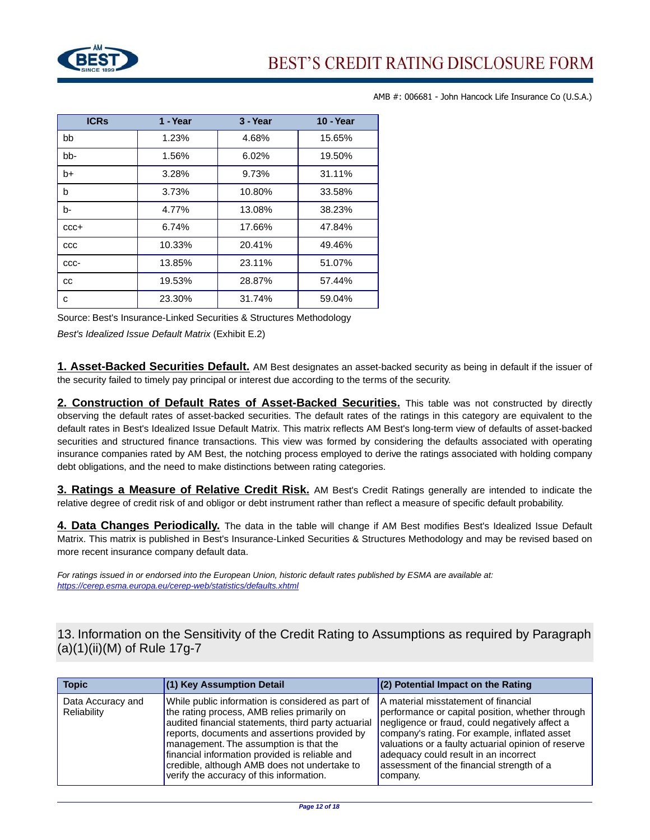

| <b>ICRs</b> | 1 - Year | 3 - Year | <b>10 - Year</b> |
|-------------|----------|----------|------------------|
| bb          | 1.23%    | 4.68%    | 15.65%           |
| bb-         | 1.56%    | 6.02%    | 19.50%           |
| $b+$        | 3.28%    | 9.73%    | 31.11%           |
| b           | 3.73%    | 10.80%   | 33.58%           |
| b-          | 4.77%    | 13.08%   | 38.23%           |
| $CCC +$     | 6.74%    | 17.66%   | 47.84%           |
| CCC         | 10.33%   | 20.41%   | 49.46%           |
| CCC-        | 13.85%   | 23.11%   | 51.07%           |
| CC          | 19.53%   | 28.87%   | 57.44%           |
| c           | 23.30%   | 31.74%   | 59.04%           |

Source: Best's Insurance-Linked Securities & Structures Methodology

Best's Idealized Issue Default Matrix (Exhibit E.2)

**1. Asset-Backed Securities Default.** AM Best designates an asset-backed security as being in default if the issuer of the security failed to timely pay principal or interest due according to the terms of the security.

**2. Construction of Default Rates of Asset-Backed Securities.** This table was not constructed by directly observing the default rates of asset-backed securities. The default rates of the ratings in this category are equivalent to the default rates in Best's Idealized Issue Default Matrix. This matrix reflects AM Best's long-term view of defaults of asset-backed securities and structured finance transactions. This view was formed by considering the defaults associated with operating insurance companies rated by AM Best, the notching process employed to derive the ratings associated with holding company debt obligations, and the need to make distinctions between rating categories.

**3. Ratings a Measure of Relative Credit Risk.** AM Best's Credit Ratings generally are intended to indicate the relative degree of credit risk of and obligor or debt instrument rather than reflect a measure of specific default probability.

**4. Data Changes Periodically.** The data in the table will change if AM Best modifies Best's Idealized Issue Default Matrix. This matrix is published in Best's Insurance-Linked Securities & Structures Methodology and may be revised based on more recent insurance company default data.

For ratings issued in or endorsed into the European Union, historic default rates published by ESMA are available at: <https://cerep.esma.europa.eu/cerep-web/statistics/defaults.xhtml>

13. Information on the Sensitivity of the Credit Rating to Assumptions as required by Paragraph (a)(1)(ii)(M) of Rule 17g-7

| <b>Topic</b>                     | $(1)$ Key Assumption Detail                                                                                                                                                                                                                                                                                                                                                                      | $(2)$ Potential Impact on the Rating                                                                                                                                                                                                                                                                                                                 |
|----------------------------------|--------------------------------------------------------------------------------------------------------------------------------------------------------------------------------------------------------------------------------------------------------------------------------------------------------------------------------------------------------------------------------------------------|------------------------------------------------------------------------------------------------------------------------------------------------------------------------------------------------------------------------------------------------------------------------------------------------------------------------------------------------------|
| Data Accuracy and<br>Reliability | While public information is considered as part of<br>the rating process, AMB relies primarily on<br>audited financial statements, third party actuarial<br>reports, documents and assertions provided by<br>management. The assumption is that the<br>financial information provided is reliable and<br>credible, although AMB does not undertake to<br>verify the accuracy of this information. | A material misstatement of financial<br>performance or capital position, whether through<br>negligence or fraud, could negatively affect a<br>company's rating. For example, inflated asset<br>valuations or a faulty actuarial opinion of reserve<br>adequacy could result in an incorrect<br>assessment of the financial strength of a<br>company. |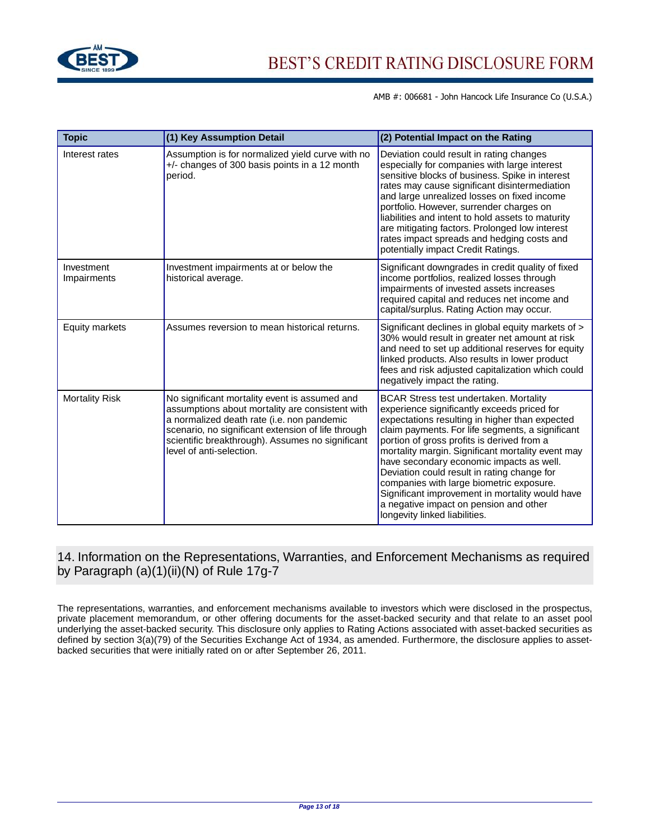

| <b>Topic</b>              | (1) Key Assumption Detail                                                                                                                                                                                                                                                            | (2) Potential Impact on the Rating                                                                                                                                                                                                                                                                                                                                                                                                                                                                                                                                         |
|---------------------------|--------------------------------------------------------------------------------------------------------------------------------------------------------------------------------------------------------------------------------------------------------------------------------------|----------------------------------------------------------------------------------------------------------------------------------------------------------------------------------------------------------------------------------------------------------------------------------------------------------------------------------------------------------------------------------------------------------------------------------------------------------------------------------------------------------------------------------------------------------------------------|
| Interest rates            | Assumption is for normalized yield curve with no<br>$+/-$ changes of 300 basis points in a 12 month<br>period.                                                                                                                                                                       | Deviation could result in rating changes<br>especially for companies with large interest<br>sensitive blocks of business. Spike in interest<br>rates may cause significant disintermediation<br>and large unrealized losses on fixed income<br>portfolio. However, surrender charges on<br>liabilities and intent to hold assets to maturity<br>are mitigating factors. Prolonged low interest<br>rates impact spreads and hedging costs and<br>potentially impact Credit Ratings.                                                                                         |
| Investment<br>Impairments | Investment impairments at or below the<br>historical average.                                                                                                                                                                                                                        | Significant downgrades in credit quality of fixed<br>income portfolios, realized losses through<br>impairments of invested assets increases<br>required capital and reduces net income and<br>capital/surplus. Rating Action may occur.                                                                                                                                                                                                                                                                                                                                    |
| <b>Equity markets</b>     | Assumes reversion to mean historical returns.                                                                                                                                                                                                                                        | Significant declines in global equity markets of ><br>30% would result in greater net amount at risk<br>and need to set up additional reserves for equity<br>linked products. Also results in lower product<br>fees and risk adjusted capitalization which could<br>negatively impact the rating.                                                                                                                                                                                                                                                                          |
| <b>Mortality Risk</b>     | No significant mortality event is assumed and<br>assumptions about mortality are consistent with<br>a normalized death rate (i.e. non pandemic<br>scenario, no significant extension of life through<br>scientific breakthrough). Assumes no significant<br>level of anti-selection. | <b>BCAR Stress test undertaken. Mortality</b><br>experience significantly exceeds priced for<br>expectations resulting in higher than expected<br>claim payments. For life segments, a significant<br>portion of gross profits is derived from a<br>mortality margin. Significant mortality event may<br>have secondary economic impacts as well.<br>Deviation could result in rating change for<br>companies with large biometric exposure.<br>Significant improvement in mortality would have<br>a negative impact on pension and other<br>longevity linked liabilities. |

## 14. Information on the Representations, Warranties, and Enforcement Mechanisms as required by Paragraph (a)(1)(ii)(N) of Rule 17g-7

The representations, warranties, and enforcement mechanisms available to investors which were disclosed in the prospectus, private placement memorandum, or other offering documents for the asset-backed security and that relate to an asset pool underlying the asset-backed security. This disclosure only applies to Rating Actions associated with asset-backed securities as defined by section 3(a)(79) of the Securities Exchange Act of 1934, as amended. Furthermore, the disclosure applies to assetbacked securities that were initially rated on or after September 26, 2011.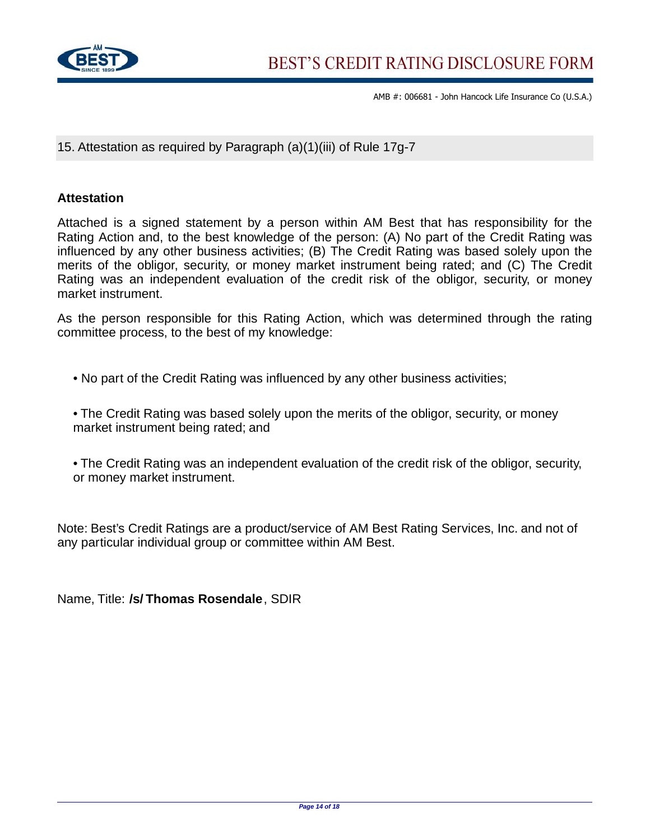

15. Attestation as required by Paragraph (a)(1)(iii) of Rule 17g-7

## **Attestation**

Attached is a signed statement by a person within AM Best that has responsibility for the Rating Action and, to the best knowledge of the person: (A) No part of the Credit Rating was influenced by any other business activities; (B) The Credit Rating was based solely upon the merits of the obligor, security, or money market instrument being rated; and (C) The Credit Rating was an independent evaluation of the credit risk of the obligor, security, or money market instrument.

As the person responsible for this Rating Action, which was determined through the rating committee process, to the best of my knowledge:

• No part of the Credit Rating was influenced by any other business activities;

• The Credit Rating was based solely upon the merits of the obligor, security, or money market instrument being rated; and

• The Credit Rating was an independent evaluation of the credit risk of the obligor, security, or money market instrument.

Note: Best's Credit Ratings are a product/service of AM Best Rating Services, Inc. and not of any particular individual group or committee within AM Best.

Name, Title: **/s/ Thomas Rosendale**, SDIR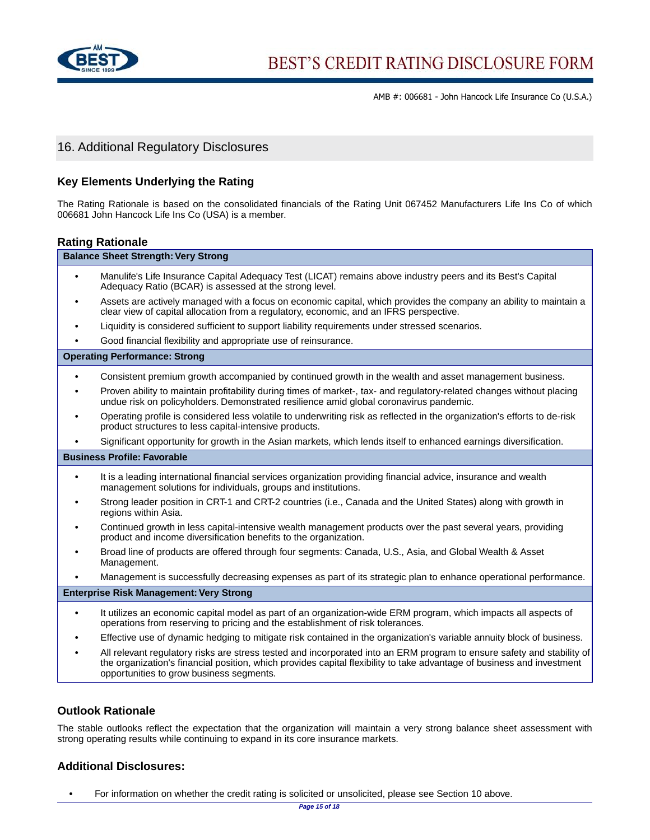

## 16. Additional Regulatory Disclosures

### **Key Elements Underlying the Rating**

The Rating Rationale is based on the consolidated financials of the Rating Unit 067452 Manufacturers Life Ins Co of which 006681 John Hancock Life Ins Co (USA) is a member.

#### **Rating Rationale**

| <b>Balance Sheet Strength: Very Strong</b>                                                                                                                                                                      |
|-----------------------------------------------------------------------------------------------------------------------------------------------------------------------------------------------------------------|
| Manulife's Life Insurance Capital Adequacy Test (LICAT) remains above industry peers and its Best's Capital<br>Adequacy Ratio (BCAR) is assessed at the strong level.                                           |
| Assets are actively managed with a focus on economic capital, which provides the company an ability to maintain a<br>clear view of capital allocation from a regulatory, economic, and an IFRS perspective.     |
| Liquidity is considered sufficient to support liability requirements under stressed scenarios.                                                                                                                  |
| Good financial flexibility and appropriate use of reinsurance.                                                                                                                                                  |
| <b>Operating Performance: Strong</b>                                                                                                                                                                            |
| Consistent premium growth accompanied by continued growth in the wealth and asset management business.                                                                                                          |
| Proven ability to maintain profitability during times of market-, tax- and regulatory-related changes without placing<br>undue risk on policyholders. Demonstrated resilience amid global coronavirus pandemic. |
| Operating profile is considered less volatile to underwriting risk as reflected in the organization's efforts to de-risk<br>product structures to less capital-intensive products.                              |
| Significant opportunity for growth in the Asian markets, which lends itself to enhanced earnings diversification.                                                                                               |
| <b>Business Profile: Favorable</b>                                                                                                                                                                              |
| It is a leading international financial services organization providing financial advice, insurance and wealth<br>management solutions for individuals, groups and institutions.                                |
| Strong leader position in CRT-1 and CRT-2 countries (i.e., Canada and the United States) along with growth in<br>regions within Asia.                                                                           |
| Continued growth in less capital-intensive wealth management products over the past several years, providing<br>product and income diversification benefits to the organization.                                |

- **•** Broad line of products are offered through four segments: Canada, U.S., Asia, and Global Wealth & Asset Management.
- **•** Management is successfully decreasing expenses as part of its strategic plan to enhance operational performance.

#### **Enterprise Risk Management: Very Strong**

- **•** It utilizes an economic capital model as part of an organization-wide ERM program, which impacts all aspects of operations from reserving to pricing and the establishment of risk tolerances.
- **•** Effective use of dynamic hedging to mitigate risk contained in the organization's variable annuity block of business.
- **•** All relevant regulatory risks are stress tested and incorporated into an ERM program to ensure safety and stability of the organization's financial position, which provides capital flexibility to take advantage of business and investment opportunities to grow business segments.

#### **Outlook Rationale**

The stable outlooks reflect the expectation that the organization will maintain a very strong balance sheet assessment with strong operating results while continuing to expand in its core insurance markets.

## **Additional Disclosures:**

• For information on whether the credit rating is solicited or unsolicited, please see Section 10 above.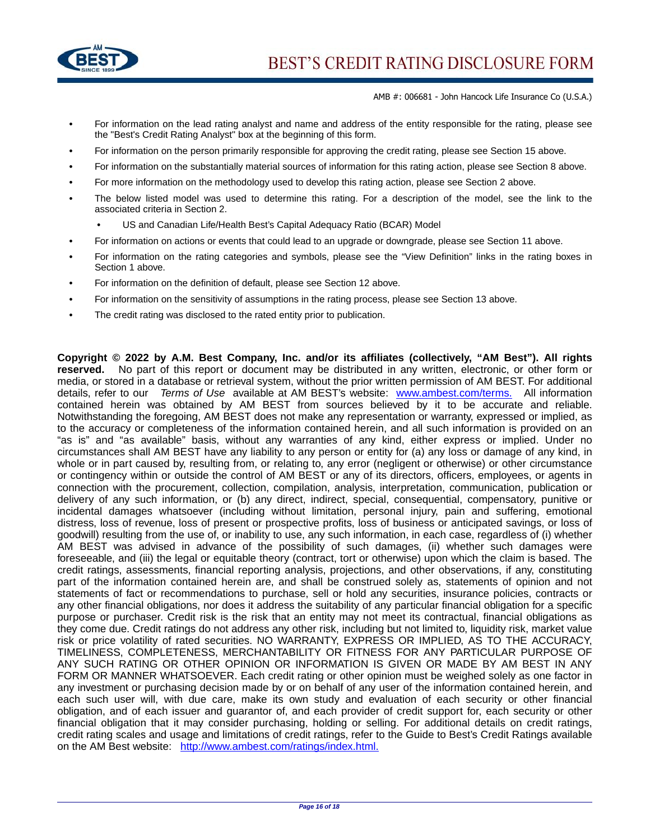

- **•** For information on the lead rating analyst and name and address of the entity responsible for the rating, please see the "Best's Credit Rating Analyst" box at the beginning of this form.
- **•** For information on the person primarily responsible for approving the credit rating, please see Section 15 above.
- **•** For information on the substantially material sources of information for this rating action, please see Section 8 above.
- **•** For more information on the methodology used to develop this rating action, please see Section 2 above.
- **•** The below listed model was used to determine this rating. For a description of the model, see the link to the associated criteria in Section 2.
	- **•** US and Canadian Life/Health Best's Capital Adequacy Ratio (BCAR) Model
- **•** For information on actions or events that could lead to an upgrade or downgrade, please see Section 11 above.
- **•** For information on the rating categories and symbols, please see the "View Definition" links in the rating boxes in Section 1 above.
- **•** For information on the definition of default, please see Section 12 above.
- For information on the sensitivity of assumptions in the rating process, please see Section 13 above.
- **•** The credit rating was disclosed to the rated entity prior to publication.

**Copyright © 2022 by A.M. Best Company, Inc. and/or its affiliates (collectively, "AM Best"). All rights reserved.** No part of this report or document may be distributed in any written, electronic, or other form or media, or stored in a database or retrieval system, without the prior written permission of AM BEST. For additional details, refer to our Terms of Use available at AM BEST's website: [www.ambest.com/terms.](www.ambest.com/terms) All information contained herein was obtained by AM BEST from sources believed by it to be accurate and reliable. Notwithstanding the foregoing, AM BEST does not make any representation or warranty, expressed or implied, as to the accuracy or completeness of the information contained herein, and all such information is provided on an "as is" and "as available" basis, without any warranties of any kind, either express or implied. Under no circumstances shall AM BEST have any liability to any person or entity for (a) any loss or damage of any kind, in whole or in part caused by, resulting from, or relating to, any error (negligent or otherwise) or other circumstance or contingency within or outside the control of AM BEST or any of its directors, officers, employees, or agents in connection with the procurement, collection, compilation, analysis, interpretation, communication, publication or delivery of any such information, or (b) any direct, indirect, special, consequential, compensatory, punitive or incidental damages whatsoever (including without limitation, personal injury, pain and suffering, emotional distress, loss of revenue, loss of present or prospective profits, loss of business or anticipated savings, or loss of goodwill) resulting from the use of, or inability to use, any such information, in each case, regardless of (i) whether AM BEST was advised in advance of the possibility of such damages, (ii) whether such damages were foreseeable, and (iii) the legal or equitable theory (contract, tort or otherwise) upon which the claim is based. The credit ratings, assessments, financial reporting analysis, projections, and other observations, if any, constituting part of the information contained herein are, and shall be construed solely as, statements of opinion and not statements of fact or recommendations to purchase, sell or hold any securities, insurance policies, contracts or any other financial obligations, nor does it address the suitability of any particular financial obligation for a specific purpose or purchaser. Credit risk is the risk that an entity may not meet its contractual, financial obligations as they come due. Credit ratings do not address any other risk, including but not limited to, liquidity risk, market value risk or price volatility of rated securities. NO WARRANTY, EXPRESS OR IMPLIED, AS TO THE ACCURACY, TIMELINESS, COMPLETENESS, MERCHANTABILITY OR FITNESS FOR ANY PARTICULAR PURPOSE OF ANY SUCH RATING OR OTHER OPINION OR INFORMATION IS GIVEN OR MADE BY AM BEST IN ANY FORM OR MANNER WHATSOEVER. Each credit rating or other opinion must be weighed solely as one factor in any investment or purchasing decision made by or on behalf of any user of the information contained herein, and each such user will, with due care, make its own study and evaluation of each security or other financial obligation, and of each issuer and guarantor of, and each provider of credit support for, each security or other financial obligation that it may consider purchasing, holding or selling. For additional details on credit ratings, credit rating scales and usage and limitations of credit ratings, refer to the Guide to Best's Credit Ratings available on the AM Best website: [http://www.ambest.com/ratings/index.html.](http://www.ambest.com/ratings/index.html)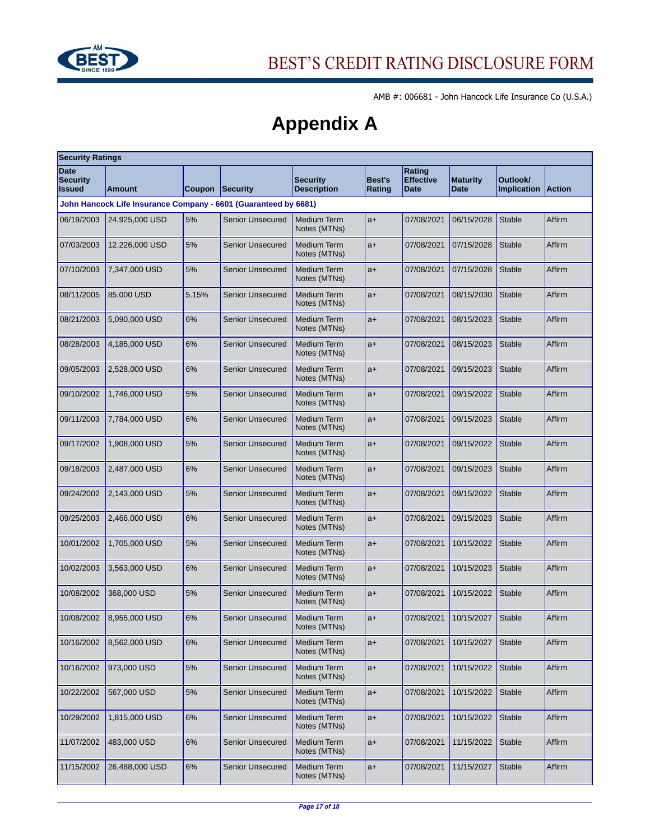

# **Appendix A**

| <b>Security Ratings</b>                                         |                |        |                         |                                       |                  |                                           |                         |                                |               |
|-----------------------------------------------------------------|----------------|--------|-------------------------|---------------------------------------|------------------|-------------------------------------------|-------------------------|--------------------------------|---------------|
| <b>Date</b><br><b>Security</b><br><b>Issued</b>                 | Amount         | Coupon | Security                | <b>Security</b><br><b>Description</b> | Best's<br>Rating | Rating<br><b>Effective</b><br><b>Date</b> | <b>Maturity</b><br>Date | Outlook/<br><b>Implication</b> | <b>Action</b> |
| John Hancock Life Insurance Company - 6601 (Guaranteed by 6681) |                |        |                         |                                       |                  |                                           |                         |                                |               |
| 06/19/2003                                                      | 24,925,000 USD | 5%     | <b>Senior Unsecured</b> | <b>Medium Term</b><br>Notes (MTNs)    | $a+$             | 07/08/2021                                | 06/15/2028              | Stable                         | Affirm        |
| 07/03/2003                                                      | 12,226,000 USD | 5%     | <b>Senior Unsecured</b> | <b>Medium Term</b><br>Notes (MTNs)    | $a+$             | 07/08/2021                                | 07/15/2028              | <b>Stable</b>                  | Affirm        |
| 07/10/2003                                                      | 7,347,000 USD  | 5%     | <b>Senior Unsecured</b> | <b>Medium Term</b><br>Notes (MTNs)    | $a+$             | 07/08/2021                                | 07/15/2028              | <b>Stable</b>                  | Affirm        |
| 08/11/2005                                                      | 85,000 USD     | 5.15%  | <b>Senior Unsecured</b> | <b>Medium Term</b><br>Notes (MTNs)    | $a+$             | 07/08/2021                                | 08/15/2030              | <b>Stable</b>                  | Affirm        |
| 08/21/2003                                                      | 5,090,000 USD  | 6%     | <b>Senior Unsecured</b> | <b>Medium Term</b><br>Notes (MTNs)    | $a+$             | 07/08/2021                                | 08/15/2023              | <b>Stable</b>                  | Affirm        |
| 08/28/2003                                                      | 4,185,000 USD  | 6%     | <b>Senior Unsecured</b> | <b>Medium Term</b><br>Notes (MTNs)    | $a+$             | 07/08/2021                                | 08/15/2023              | <b>Stable</b>                  | Affirm        |
| 09/05/2003                                                      | 2,528,000 USD  | 6%     | <b>Senior Unsecured</b> | <b>Medium Term</b><br>Notes (MTNs)    | $a+$             | 07/08/2021                                | 09/15/2023              | <b>Stable</b>                  | Affirm        |
| 09/10/2002                                                      | 1,746,000 USD  | 5%     | <b>Senior Unsecured</b> | <b>Medium Term</b><br>Notes (MTNs)    | $a+$             | 07/08/2021                                | 09/15/2022              | <b>Stable</b>                  | Affirm        |
| 09/11/2003                                                      | 7.784,000 USD  | 6%     | Senior Unsecured        | <b>Medium Term</b><br>Notes (MTNs)    | $a+$             | 07/08/2021                                | 09/15/2023              | <b>Stable</b>                  | Affirm        |
| 09/17/2002                                                      | 1,908,000 USD  | 5%     | <b>Senior Unsecured</b> | <b>Medium Term</b><br>Notes (MTNs)    | $a+$             | 07/08/2021                                | 09/15/2022              | <b>Stable</b>                  | Affirm        |
| 09/18/2003                                                      | 2,487,000 USD  | 6%     | <b>Senior Unsecured</b> | <b>Medium Term</b><br>Notes (MTNs)    | $a+$             | 07/08/2021                                | 09/15/2023              | <b>Stable</b>                  | Affirm        |
| 09/24/2002                                                      | 2,143,000 USD  | 5%     | <b>Senior Unsecured</b> | <b>Medium Term</b><br>Notes (MTNs)    | $a+$             | 07/08/2021                                | 09/15/2022              | <b>Stable</b>                  | Affirm        |
| 09/25/2003                                                      | 2,466,000 USD  | 6%     | <b>Senior Unsecured</b> | <b>Medium Term</b><br>Notes (MTNs)    | $a+$             | 07/08/2021                                | 09/15/2023              | <b>Stable</b>                  | Affirm        |
| 10/01/2002                                                      | 1,705,000 USD  | 5%     | <b>Senior Unsecured</b> | <b>Medium Term</b><br>Notes (MTNs)    | $a+$             | 07/08/2021                                | 10/15/2022              | <b>Stable</b>                  | Affirm        |
| 10/02/2003                                                      | 3,563,000 USD  | 6%     | <b>Senior Unsecured</b> | <b>Medium Term</b><br>Notes (MTNs)    | $a+$             | 07/08/2021                                | 10/15/2023              | <b>Stable</b>                  | Affirm        |
| 10/08/2002                                                      | 368,000 USD    | 5%     | <b>Senior Unsecured</b> | <b>Medium Term</b><br>Notes (MTNs)    | $a+$             | 07/08/2021                                | 10/15/2022              | <b>Stable</b>                  | Affirm        |
| 10/08/2002                                                      | 8,955,000 USD  | 6%     | <b>Senior Unsecured</b> | <b>Medium Term</b><br>Notes (MTNs)    | $a+$             | 07/08/2021                                | 10/15/2027              | <b>Stable</b>                  | Affirm        |
| 10/16/2002                                                      | 8,562,000 USD  | 6%     | <b>Senior Unsecured</b> | Medium Term<br>Notes (MTNs)           | $a+$             | 07/08/2021                                | 10/15/2027              | <b>Stable</b>                  | Affirm        |
| 10/16/2002                                                      | 973,000 USD    | 5%     | <b>Senior Unsecured</b> | <b>Medium Term</b><br>Notes (MTNs)    | $a+$             | 07/08/2021                                | 10/15/2022              | Stable                         | Affirm        |
| 10/22/2002                                                      | 567,000 USD    | 5%     | <b>Senior Unsecured</b> | Medium Term<br>Notes (MTNs)           | $a+$             | 07/08/2021                                | 10/15/2022              | <b>Stable</b>                  | Affirm        |
| 10/29/2002                                                      | 1,815,000 USD  | 6%     | <b>Senior Unsecured</b> | <b>Medium Term</b><br>Notes (MTNs)    | $a+$             | 07/08/2021                                | 10/15/2022              | <b>Stable</b>                  | Affirm        |
| 11/07/2002                                                      | 483,000 USD    | 6%     | <b>Senior Unsecured</b> | Medium Term<br>Notes (MTNs)           | $a+$             | 07/08/2021                                | 11/15/2022              | <b>Stable</b>                  | Affirm        |
| 11/15/2002                                                      | 26,488,000 USD | 6%     | <b>Senior Unsecured</b> | <b>Medium Term</b><br>Notes (MTNs)    | $a+$             | 07/08/2021                                | 11/15/2027              | Stable                         | Affirm        |